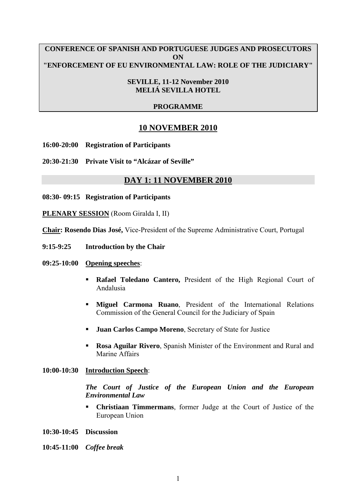### **CONFERENCE OF SPANISH AND PORTUGUESE JUDGES AND PROSECUTORS ON "ENFORCEMENT OF EU ENVIRONMENTAL LAW: ROLE OF THE JUDICIARY"**

#### **SEVILLE, 11-12 November 2010 MELIÁ SEVILLA HOTEL**

# **PROGRAMME**

# **10 NOVEMBER 2010**

**16:00-20:00 Registration of Participants** 

**20:30-21:30 Private Visit to "Alcázar of Seville"** 

# **DAY 1: 11 NOVEMBER 2010**

**08:30- 09:15 Registration of Participants** 

**PLENARY SESSION** (Room Giralda I, II)

**Chair: Rosendo Dias José,** Vice-President of the Supreme Administrative Court, Portugal

**9:15-9:25 Introduction by the Chair** 

#### **09:25-10:00 Opening speeches**:

- **Rafael Toledano Cantero,** President of the High Regional Court of Andalusia
- **Miguel Carmona Ruano**, President of the International Relations Commission of the General Council for the Judiciary of Spain
- **Juan Carlos Campo Moreno**, Secretary of State for Justice
- **Rosa Aguilar Rivero, Spanish Minister of the Environment and Rural and** Marine Affairs

#### **10:00-10:30 Introduction Speech**:

*The Court of Justice of the European Union and the European Environmental Law* 

 **Christiaan Timmermans**, former Judge at the Court of Justice of the European Union

**10:30-10:45 Discussion** 

**10:45-11:00** *Coffee break*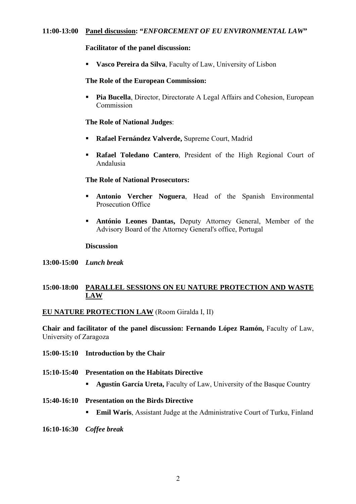#### **Facilitator of the panel discussion:**

**Vasco Pereira da Silva**, Faculty of Law, University of Lisbon

#### **The Role of the European Commission:**

**Pia Bucella**, Director, Directorate A Legal Affairs and Cohesion, European Commission

#### **The Role of National Judges**:

- **Rafael Fernández Valverde,** Supreme Court, Madrid
- **Rafael Toledano Cantero**, President of the High Regional Court of Andalusia

### **The Role of National Prosecutors:**

- **Antonio Vercher Noguera**, Head of the Spanish Environmental Prosecution Office
- **António Leones Dantas,** Deputy Attorney General, Member of the Advisory Board of the Attorney General's office, Portugal

#### **Discussion**

**13:00-15:00** *Lunch break*

# **15:00-18:00 PARALLEL SESSIONS ON EU NATURE PROTECTION AND WASTE LAW**

# **EU NATURE PROTECTION LAW** (Room Giralda I, II)

**Chair and facilitator of the panel discussion: Fernando López Ramón,** Faculty of Law, University of Zaragoza

- **15:00-15:10 Introduction by the Chair**
- **15:10-15:40 Presentation on the Habitats Directive** 
	- **Agustín García Ureta, Faculty of Law, University of the Basque Country**
- **15:40-16:10 Presentation on the Birds Directive** 
	- **Emil Waris**, Assistant Judge at the Administrative Court of Turku, Finland
- **16:10-16:30** *Coffee break*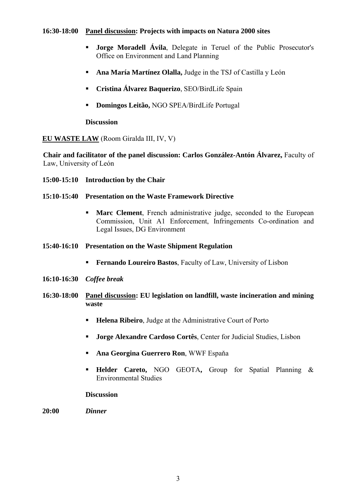### **16:30-18:00 Panel discussion: Projects with impacts on Natura 2000 sites**

- **Jorge Moradell Ávila**, Delegate in Teruel of the Public Prosecutor's Office on Environment and Land Planning
- **Ana María Martínez Olalla,** Judge in the TSJ of Castilla y León
- **Cristina Álvarez Baquerizo**, SEO/BirdLife Spain
- **Domingos Leitão,** NGO SPEA/BirdLife Portugal

# **Discussion**

# **EU WASTE LAW** (Room Giralda III, IV, V)

 **Chair and facilitator of the panel discussion: Carlos González-Antón Álvarez,** Faculty of Law, University of León

**15:00-15:10 Introduction by the Chair** 

## **15:10-15:40 Presentation on the Waste Framework Directive**

- **Marc Clement**, French administrative judge, seconded to the European Commission, Unit A1 Enforcement, Infringements Co-ordination and Legal Issues, DG Environment
- **15:40-16:10 Presentation on the Waste Shipment Regulation** 
	- **Fernando Loureiro Bastos**, Faculty of Law, University of Lisbon
- **16:10-16:30** *Coffee break*
- **16:30-18:00 Panel discussion: EU legislation on landfill, waste incineration and mining waste** 
	- **Helena Ribeiro**, Judge at the Administrative Court of Porto
	- **Jorge Alexandre Cardoso Cortês**, Center for Judicial Studies, Lisbon
	- **Ana Georgina Guerrero Ron**, WWF Espaňa
	- **Helder Careto,** NGO GEOTA**,** Group for Spatial Planning & Environmental Studies

#### **Discussion**

**20:00** *Dinner*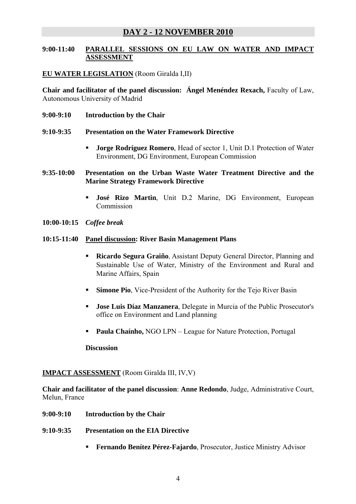# **DAY 2 - 12 NOVEMBER 2010**

# **9:00-11:40 PARALLEL SESSIONS ON EU LAW ON WATER AND IMPACT ASSESSMENT**

## **EU WATER LEGISLATION** (Room Giralda I,II)

**Chair and facilitator of the panel discussion: Ángel Menéndez Rexach,** Faculty of Law, [Autonomous University of Madrid](http://www.uam.es/ss/Satellite/en/home) 

- **9:00-9:10 Introduction by the Chair**
- **9:10-9:35 Presentation on the Water Framework Directive** 
	- **Jorge Rodríguez Romero**, Head of sector 1, Unit D.1 Protection of Water Environment, DG Environment, European Commission
- **9:35-10:00 Presentation on the Urban Waste Water Treatment Directive and the Marine Strategy Framework Directive** 
	- **José Rizo Martin**, Unit D.2 Marine, DG Environment, European Commission
- **10:00-10:15** *Coffee break*

#### **10:15-11:40 Panel discussion: River Basin Management Plans**

- **Ricardo Segura Graiño**, Assistant Deputy General Director, Planning and Sustainable Use of Water, Ministry of the Environment and Rural and Marine Affairs, Spain
- **Simone Pio**, Vice-President of the Authority for the Tejo River Basin
- **Jose Luis Díaz Manzanera**, Delegate in Murcia of the Public Prosecutor's office on Environment and Land planning
- **Paula Chaínho,** NGO LPN League for Nature Protection, Portugal

**Discussion** 

#### **IMPACT ASSESSMENT** (Room Giralda III, IV,V)

**Chair and facilitator of the panel discussion**: **Anne Redondo**, Judge, Administrative Court, Melun, France

- **9:00-9:10 Introduction by the Chair**
- **9:10-9:35 Presentation on the EIA Directive** 
	- **Fernando Benítez Pérez-Fajardo**, Prosecutor, Justice Ministry Advisor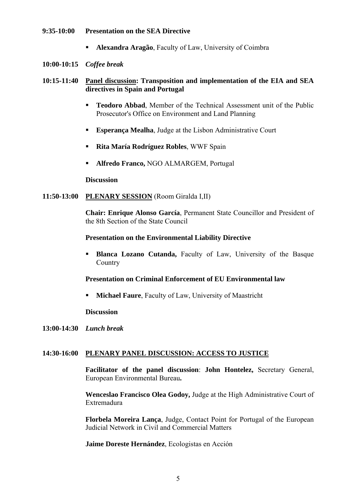#### **9:35-10:00 Presentation on the SEA Directive**

**Alexandra Aragão**, Faculty of Law, University of Coimbra

#### **10:00-10:15** *Coffee break*

# **10:15-11:40 Panel discussion: Transposition and implementation of the EIA and SEA directives in Spain and Portugal**

- **Teodoro Abbad**, Member of the Technical Assessment unit of the Public Prosecutor's Office on Environment and Land Planning
- **Esperança Mealha**, Judge at the Lisbon Administrative Court
- **Rita María Rodríguez Robles**, WWF Spain
- **Alfredo Franco,** NGO ALMARGEM, Portugal

#### **Discussion**

#### **11:50-13:00 PLENARY SESSION** (Room Giralda I,II)

**Chair: Enrique Alonso García**, Permanent State Councillor and President of the 8th Section of the State Council

## **Presentation on the Environmental Liability Directive**

**Blanca Lozano Cutanda, Faculty of Law, University of the Basque Country** 

#### **Presentation on Criminal Enforcement of EU Environmental law**

**Michael Faure**, Faculty of Law, University of Maastricht

#### **Discussion**

**13:00-14:30** *Lunch break*

#### **14:30-16:00 PLENARY PANEL DISCUSSION: ACCESS TO JUSTICE**

**Facilitator of the panel discussion**: **John Hontelez,** Secretary General, European Environmental Bureau**.**

**Wenceslao Francisco Olea Godoy,** Judge at the High Administrative Court of Extremadura

**Florbela Moreira Lança**, Judge, Contact Point for Portugal of the European Judicial Network in Civil and Commercial Matters

**Jaime Doreste Hernández**, Ecologistas en Acción